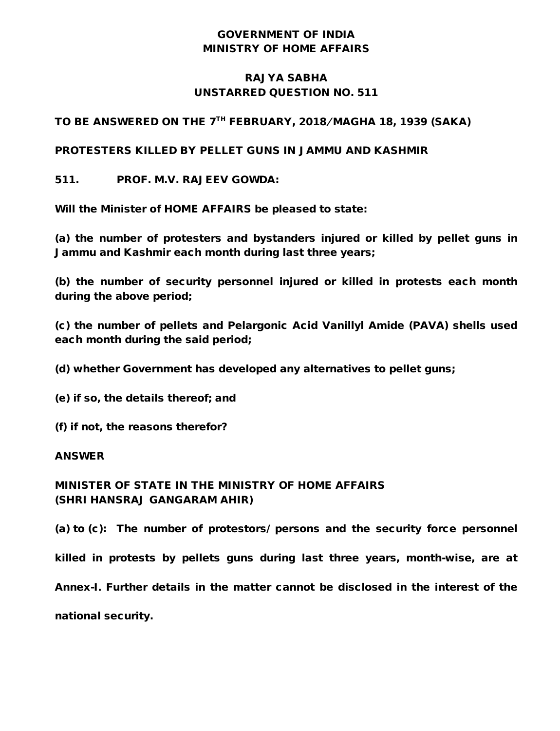## GOVERNMENT OF INDIA MINISTRY OF HOME AFFAIRS

## RAJYA SABHA UNSTARRED QUESTION NO. 511

TO BE ANSWERED ON THE 7<sup>TH</sup> FEBRUARY, 2018/MAGHA 18, 1939 (SAKA)

PROTESTERS KILLED BY PELLET GUNS IN JAMMU AND KASHMIR

511. PROF. M.V. RAJEEV GOWDA:

Will the Minister of HOME AFFAIRS be pleased to state:

(a) the number of protesters and bystanders injured or killed by pellet guns in Jammu and Kashmir each month during last three years;

(b) the number of security personnel injured or killed in protests each month during the above period;

(c) the number of pellets and Pelargonic Acid Vanillyl Amide (PAVA) shells used each month during the said period;

(d) whether Government has developed any alternatives to pellet guns;

(e) if so, the details thereof; and

(f) if not, the reasons therefor?

## ANSWER

MINISTER OF STATE IN THE MINISTRY OF HOME AFFAIRS (SHRI HANSRAJ GANGARAM AHIR)

(a) to (c): The number of protestors/ persons and the security force personnel

killed in protests by pellets guns during last three years, month-wise, are at

Annex-I. Further details in the matter cannot be disclosed in the interest of the

national security.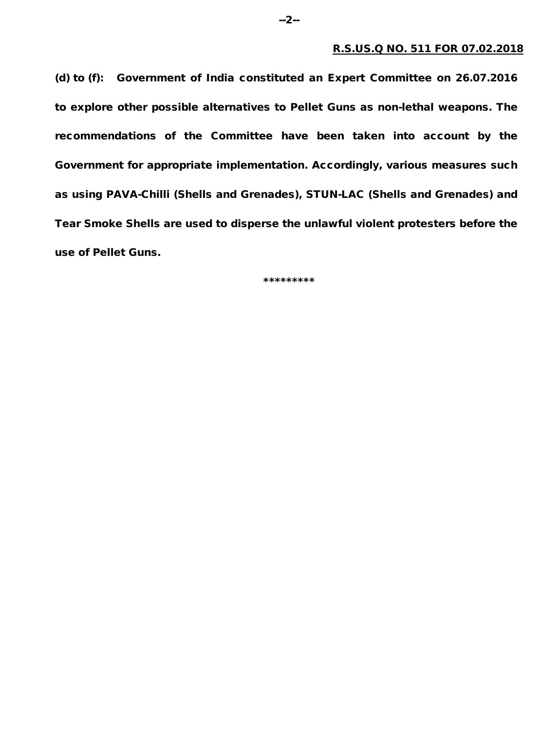(d) to (f): Government of India constituted an Expert Committee on 26.07.2016 to explore other possible alternatives to Pellet Guns as non-lethal weapons. The recommendations of the Committee have been taken into account by the Government for appropriate implementation. Accordingly, various measures such as using PAVA-Chilli (Shells and Grenades), STUN-LAC (Shells and Grenades) and Tear Smoke Shells are used to disperse the unlawful violent protesters before the use of Pellet Guns.

\*\*\*\*\*\*\*\*\*